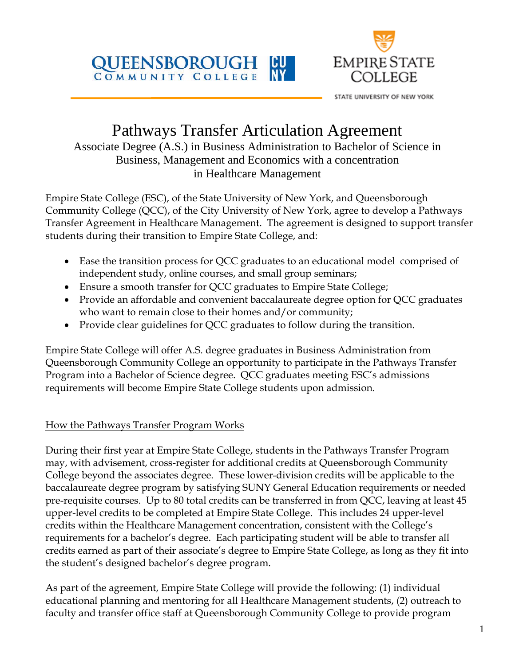



STATE UNIVERSITY OF NEW YORK

# Pathways Transfer Articulation Agreement

Associate Degree (A.S.) in Business Administration to Bachelor of Science in Business, Management and Economics with a concentration in Healthcare Management

Empire State College (ESC), of the State University of New York, and Queensborough Community College (QCC), of the City University of New York, agree to develop a Pathways Transfer Agreement in Healthcare Management. The agreement is designed to support transfer students during their transition to Empire State College, and:

- Ease the transition process for QCC graduates to an educational model comprised of independent study, online courses, and small group seminars;
- Ensure a smooth transfer for QCC graduates to Empire State College;
- Provide an affordable and convenient baccalaureate degree option for QCC graduates who want to remain close to their homes and/or community;
- Provide clear guidelines for QCC graduates to follow during the transition.

Empire State College will offer A.S. degree graduates in Business Administration from Queensborough Community College an opportunity to participate in the Pathways Transfer Program into a Bachelor of Science degree. QCC graduates meeting ESC's admissions requirements will become Empire State College students upon admission.

## How the Pathways Transfer Program Works

During their first year at Empire State College, students in the Pathways Transfer Program may, with advisement, cross-register for additional credits at Queensborough Community College beyond the associates degree. These lower-division credits will be applicable to the baccalaureate degree program by satisfying SUNY General Education requirements or needed pre-requisite courses. Up to 80 total credits can be transferred in from QCC, leaving at least 45 upper-level credits to be completed at Empire State College. This includes 24 upper-level credits within the Healthcare Management concentration, consistent with the College's requirements for a bachelor's degree. Each participating student will be able to transfer all credits earned as part of their associate's degree to Empire State College, as long as they fit into the student's designed bachelor's degree program.

As part of the agreement, Empire State College will provide the following: (1) individual educational planning and mentoring for all Healthcare Management students, (2) outreach to faculty and transfer office staff at Queensborough Community College to provide program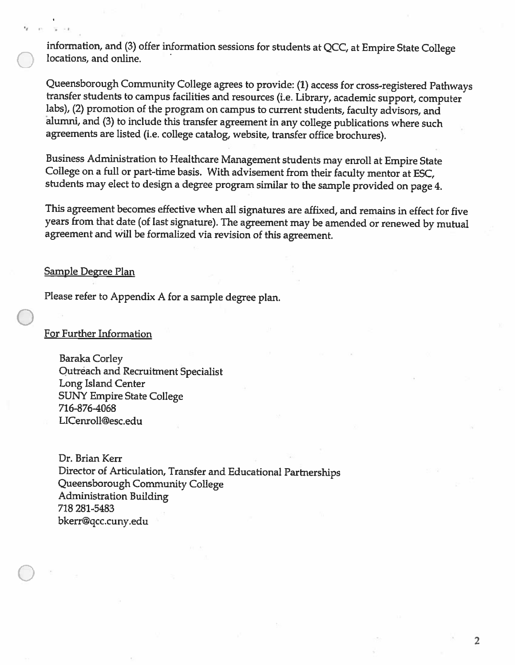information, and (3) offer information sessions for students at QCC, at Empire State College locations, and online.

Queensborough Community College agrees to provide: (1) access for cross-registered Pathways transfer students to campus facilities and resources (i.e. Library, academic support, computer labs), (2) promotion of the program on campus to current students, faculty advisors, and alumni, and (3) to include this transfer agreement in any college publications where such agreements are listed (i.e. college catalog, website, transfer office brochures).

Business Administration to Healthcare Management students may enroll at Empire State College on a full or part-time basis. With advisement from their faculty mentor at ESC, students may elect to design a degree program similar to the sample provided on page 4.

This agreement becomes effective when all signatures are affixed, and remains in effect for five years from that date (of last signature). The agreement may be amended or renewed by mutual agreement and will be formalized via revision of this agreement.

#### **Sample Degree Plan**

Please refer to Appendix A for a sample degree plan.

#### **For Further Information**

**Baraka Corley** Qutreach and Recruitment Specialist Long Island Center **SUNY Empire State College** 716-876-4068 LICenroll@esc.edu

Dr. Brian Kerr Director of Articulation, Transfer and Educational Partnerships Queensborough Community College **Administration Building** 718 281-5483 bkerr@qcc.cuny.edu

 $\overline{2}$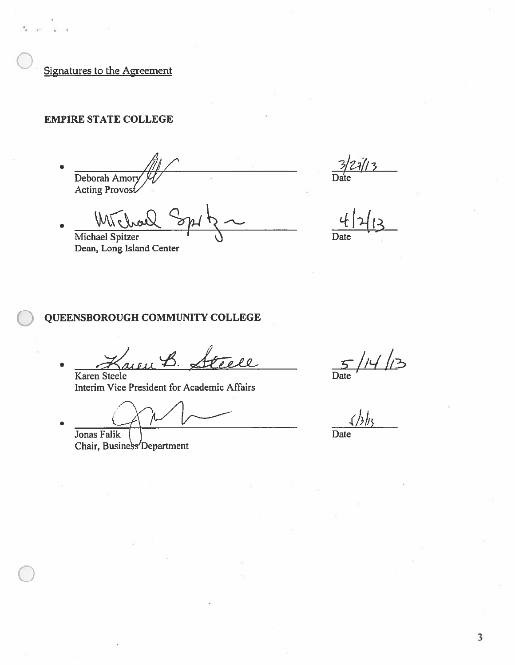Signatures to the Agreement

## **EMPIRE STATE COLLEGE**

Deborah Amor<br>Acting Provost

 $\mathbb{W}$ Michael Spitzer Dean, Long Island Center

Date

Date

## QUEENSBOROUGH COMMUNITY COLLEGE

 $\rho$   $\rho$ Karen Steele

Interim Vice President for Academic Affairs

Jonas Falik

Chair, Business Department

 $\frac{5}{\frac{5}{\frac{5}{2}}}$ //4//3

 $\triangle$ 

Date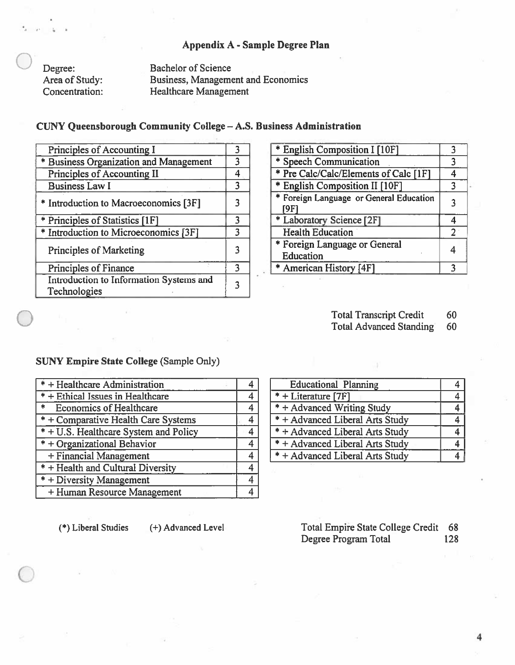#### Appendix A - Sample Degree Plan

Degree: Area of Study: Concentration: **Bachelor of Science Business, Management and Economics Healthcare Management** 

#### CUNY Queensborough Community College - A.S. Business Administration

| Principles of Accounting I                              |   |
|---------------------------------------------------------|---|
| * Business Organization and Management                  | 3 |
| Principles of Accounting II                             | 4 |
| <b>Business Law I</b>                                   | 3 |
| * Introduction to Macroeconomics [3F]                   | 3 |
| * Principles of Statistics [1F]                         | 3 |
| * Introduction to Microeconomics [3F]                   | 3 |
| <b>Principles of Marketing</b>                          |   |
| Principles of Finance                                   | 3 |
| Introduction to Information Systems and<br>Technologies | 3 |

| * English Composition I [10F]                   | 3 |
|-------------------------------------------------|---|
| * Speech Communication                          |   |
| * Pre Calc/Calc/Elements of Calc [1F]           |   |
| * English Composition II [10F]                  |   |
| * Foreign Language or General Education<br>[9F] |   |
| * Laboratory Science [2F]                       |   |
| <b>Health Education</b>                         | 2 |
| * Foreign Language or General<br>Education      |   |
| * American History [4F]                         |   |

**Total Transcript Credit** 60

**Total Advanced Standing** 60

## **SUNY Empire State College (Sample Only)**

| $*$ + Healthcare Administration                    |                |
|----------------------------------------------------|----------------|
| * + Ethical Issues in Healthcare                   | 4              |
| <b>Economics of Healthcare</b><br>$\ast$           | 4              |
| * + Comparative Health Care Systems                | 4              |
| $* + \overline{U.S.}$ Healthcare System and Policy |                |
| $*$ + Organizational Behavior                      | 4              |
| + Financial Management                             | $\overline{4}$ |
| * + Health and Cultural Diversity                  | 4              |
| * + Diversity Management                           |                |
| + Human Resource Management                        | 4              |

 $* +$  Literature [7F]  $\overline{4}$ \* + Advanced Writing Study  $\overline{4}$ \* + Advanced Liberal Arts Study  $\overline{4}$ \* + Advanced Liberal Arts Study  $\overline{4}$ \* + Advanced Liberal Arts Study  $\overline{4}$ \* + Advanced Liberal Arts Study  $\overline{4}$ 

**Educational Planning** 

(\*) Liberal Studies

(+) Advanced Level

Total Empire State College Credit 68 Degree Program Total 128

 $\overline{4}$